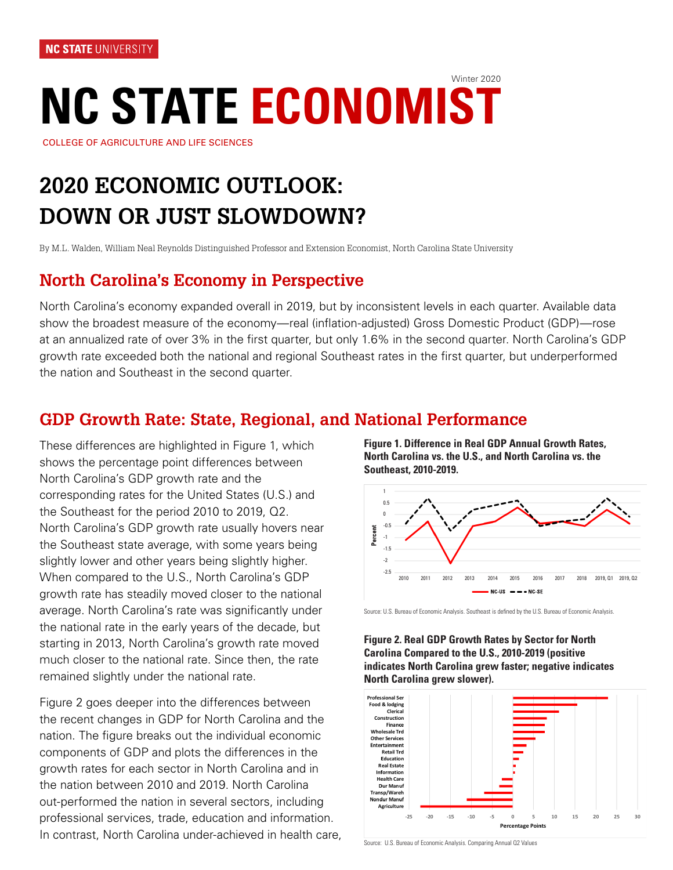# **NC STATE ECONOMIST** Winter 2020

COLLEGE OF AGRICULTURE AND LIFE SCIENCES

# **2020 ECONOMIC OUTLOOK: DOWN OR JUST SLOWDOWN?**

By M.L. Walden, William Neal Reynolds Distinguished Professor and Extension Economist, North Carolina State University

# **North Carolina's Economy in Perspective**

North Carolina's economy expanded overall in 2019, but by inconsistent levels in each quarter. Available data show the broadest measure of the economy—real (inflation-adjusted) Gross Domestic Product (GDP)—rose at an annualized rate of over 3% in the first quarter, but only 1.6% in the second quarter. North Carolina's GDP growth rate exceeded both the national and regional Southeast rates in the first quarter, but underperformed the nation and Southeast in the second quarter.

### **GDP Growth Rate: State, Regional, and National Performance**

These differences are highlighted in Figure 1, which shows the percentage point differences between North Carolina's GDP growth rate and the corresponding rates for the United States (U.S.) and the Southeast for the period 2010 to 2019, Q2. North Carolina's GDP growth rate usually hovers near the Southeast state average, with some years being slightly lower and other years being slightly higher. When compared to the U.S., North Carolina's GDP growth rate has steadily moved closer to the national average. North Carolina's rate was significantly under the national rate in the early years of the decade, but starting in 2013, North Carolina's growth rate moved much closer to the national rate. Since then, the rate remained slightly under the national rate.

Figure 2 goes deeper into the differences between the recent changes in GDP for North Carolina and the nation. The figure breaks out the individual economic components of GDP and plots the differences in the growth rates for each sector in North Carolina and in the nation between 2010 and 2019. North Carolina out-performed the nation in several sectors, including professional services, trade, education and information. In contrast, North Carolina under-achieved in health care, **Figure 1. Difference in Real GDP Annual Growth Rates, North Carolina vs. the U.S., and North Carolina vs. the Southeast, 2010-2019.**



Source: U.S. Bureau of Economic Analysis. Southeast is defined by the U.S. Bureau of Economic Analysis.





Source: U.S. Bureau of Economic Analysis. Comparing Annual Q2 Values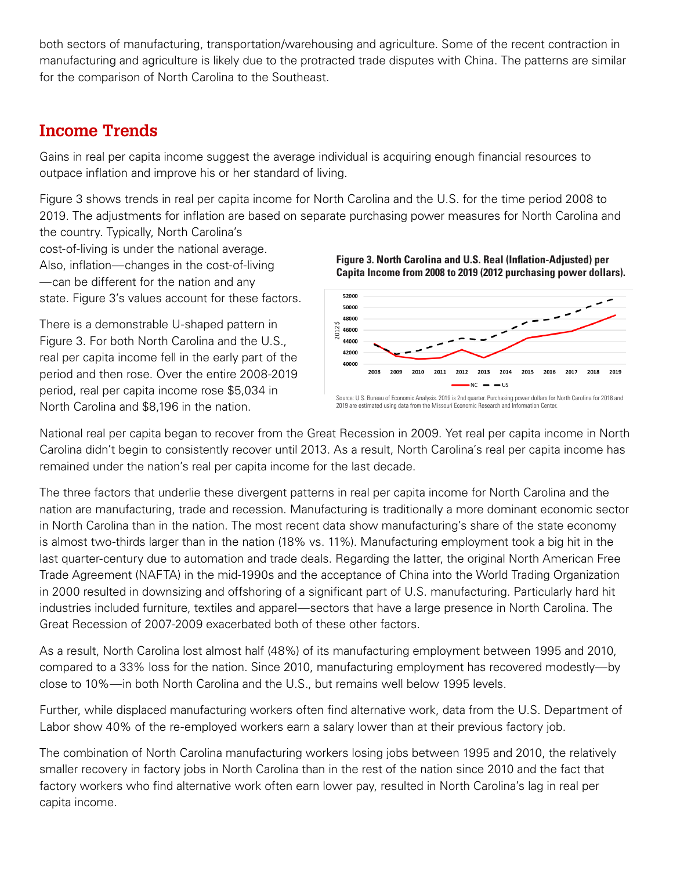both sectors of manufacturing, transportation/warehousing and agriculture. Some of the recent contraction in manufacturing and agriculture is likely due to the protracted trade disputes with China. The patterns are similar for the comparison of North Carolina to the Southeast.

# **Income Trends**

Gains in real per capita income suggest the average individual is acquiring enough financial resources to outpace inflation and improve his or her standard of living.

Figure 3 shows trends in real per capita income for North Carolina and the U.S. for the time period 2008 to 2019. The adjustments for inflation are based on separate purchasing power measures for North Carolina and the country. Typically, North Carolina's

cost-of-living is under the national average. Also, inflation—changes in the cost-of-living —can be different for the nation and any state. Figure 3's values account for these factors.

There is a demonstrable U-shaped pattern in Figure 3. For both North Carolina and the U.S., real per capita income fell in the early part of the period and then rose. Over the entire 2008-2019 period, real per capita income rose \$5,034 in North Carolina and \$8,196 in the nation.





2019 are estimated using data from the Missouri Economic Research and Information Cente

National real per capita began to recover from the Great Recession in 2009. Yet real per capita income in North Carolina didn't begin to consistently recover until 2013. As a result, North Carolina's real per capita income has remained under the nation's real per capita income for the last decade.

The three factors that underlie these divergent patterns in real per capita income for North Carolina and the nation are manufacturing, trade and recession. Manufacturing is traditionally a more dominant economic sector in North Carolina than in the nation. The most recent data show manufacturing's share of the state economy is almost two-thirds larger than in the nation (18% vs. 11%). Manufacturing employment took a big hit in the last quarter-century due to automation and trade deals. Regarding the latter, the original North American Free Trade Agreement (NAFTA) in the mid-1990s and the acceptance of China into the World Trading Organization in 2000 resulted in downsizing and offshoring of a significant part of U.S. manufacturing. Particularly hard hit industries included furniture, textiles and apparel—sectors that have a large presence in North Carolina. The Great Recession of 2007-2009 exacerbated both of these other factors.

As a result, North Carolina lost almost half (48%) of its manufacturing employment between 1995 and 2010, compared to a 33% loss for the nation. Since 2010, manufacturing employment has recovered modestly—by close to 10%—in both North Carolina and the U.S., but remains well below 1995 levels.

Further, while displaced manufacturing workers often find alternative work, data from the U.S. Department of Labor show 40% of the re-employed workers earn a salary lower than at their previous factory job.

The combination of North Carolina manufacturing workers losing jobs between 1995 and 2010, the relatively smaller recovery in factory jobs in North Carolina than in the rest of the nation since 2010 and the fact that factory workers who find alternative work often earn lower pay, resulted in North Carolina's lag in real per capita income.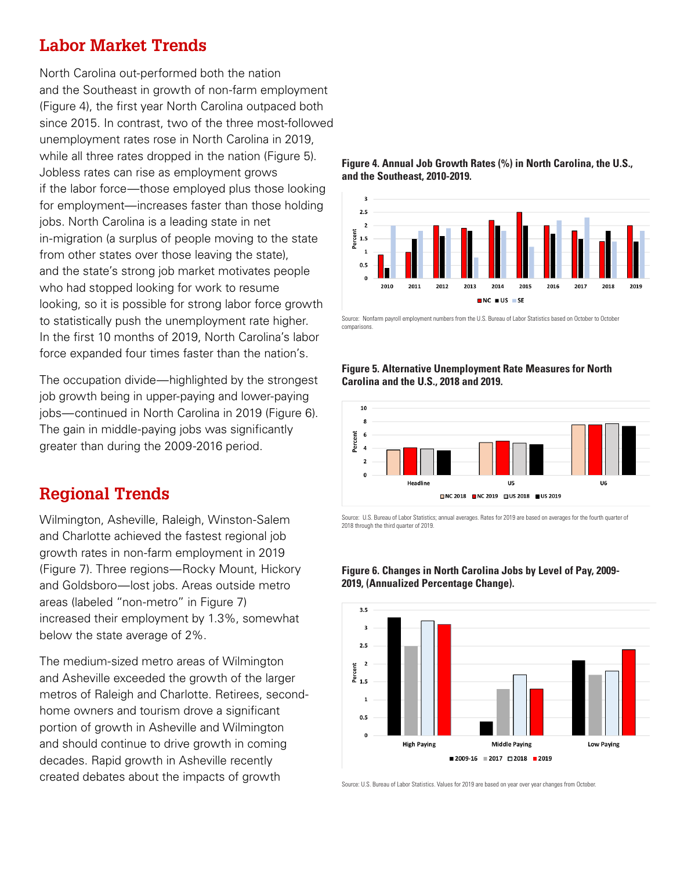# **Labor Market Trends**

North Carolina out-performed both the nation and the Southeast in growth of non-farm employment (Figure 4), the first year North Carolina outpaced both since 2015. In contrast, two of the three most-followed unemployment rates rose in North Carolina in 2019, while all three rates dropped in the nation (Figure 5). Jobless rates can rise as employment grows if the labor force—those employed plus those looking for employment—increases faster than those holding jobs. North Carolina is a leading state in net in-migration (a surplus of people moving to the state from other states over those leaving the state), and the state's strong job market motivates people who had stopped looking for work to resume looking, so it is possible for strong labor force growth to statistically push the unemployment rate higher. In the first 10 months of 2019, North Carolina's labor force expanded four times faster than the nation's.

The occupation divide—highlighted by the strongest job growth being in upper-paying and lower-paying jobs—continued in North Carolina in 2019 (Figure 6). The gain in middle-paying jobs was significantly greater than during the 2009-2016 period.

#### **Regional Trends**

Wilmington, Asheville, Raleigh, Winston-Salem and Charlotte achieved the fastest regional job growth rates in non-farm employment in 2019 (Figure 7). Three regions—Rocky Mount, Hickory and Goldsboro—lost jobs. Areas outside metro areas (labeled "non-metro" in Figure 7) increased their employment by 1.3%, somewhat below the state average of 2%.

The medium-sized metro areas of Wilmington and Asheville exceeded the growth of the larger metros of Raleigh and Charlotte. Retirees, secondhome owners and tourism drove a significant portion of growth in Asheville and Wilmington and should continue to drive growth in coming decades. Rapid growth in Asheville recently created debates about the impacts of growth





Source: Nonfarm payroll employment numbers from the U.S. Bureau of Labor Statistics based on October to October comparisons.

#### **Figure 5. Alternative Unemployment Rate Measures for North Carolina and the U.S., 2018 and 2019.**



Source: U.S. Bureau of Labor Statistics; annual averages. Rates for 2019 are based on averages for the fourth quarter of 2018 through the third quarter of 2019.



#### **Figure 6. Changes in North Carolina Jobs by Level of Pay, 2009- 2019, (Annualized Percentage Change).**

Source: U.S. Bureau of Labor Statistics. Values for 2019 are based on year over year changes from October.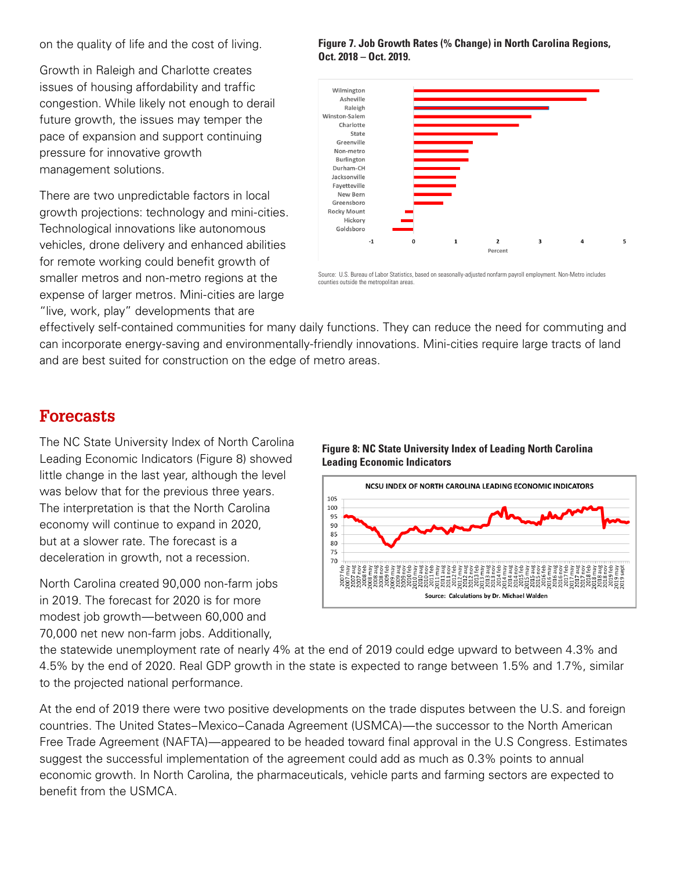on the quality of life and the cost of living.

Growth in Raleigh and Charlotte creates issues of housing affordability and traffic congestion. While likely not enough to derail future growth, the issues may temper the pace of expansion and support continuing pressure for innovative growth management solutions.

There are two unpredictable factors in local growth projections: technology and mini-cities. Technological innovations like autonomous vehicles, drone delivery and enhanced abilities for remote working could benefit growth of smaller metros and non-metro regions at the expense of larger metros. Mini-cities are large "live, work, play" developments that are

**Figure 7. Job Growth Rates (% Change) in North Carolina Regions, Oct. 2018 – Oct. 2019.**



Source: U.S. Bureau of Labor Statistics, based on seasonally-adjusted nonfarm payroll employment. Non-Metro includes counties outside the metropolitan areas.

effectively self-contained communities for many daily functions. They can reduce the need for commuting and can incorporate energy-saving and environmentally-friendly innovations. Mini-cities require large tracts of land and are best suited for construction on the edge of metro areas.

### **Forecasts**

The NC State University Index of North Carolina Leading Economic Indicators (Figure 8) showed little change in the last year, although the level was below that for the previous three years. The interpretation is that the North Carolina economy will continue to expand in 2020, but at a slower rate. The forecast is a deceleration in growth, not a recession.

North Carolina created 90,000 non-farm jobs in 2019. The forecast for 2020 is for more modest job growth—between 60,000 and 70,000 net new non-farm jobs. Additionally,





the statewide unemployment rate of nearly 4% at the end of 2019 could edge upward to between 4.3% and 4.5% by the end of 2020. Real GDP growth in the state is expected to range between 1.5% and 1.7%, similar to the projected national performance.

At the end of 2019 there were two positive developments on the trade disputes between the U.S. and foreign countries. The United States–Mexico–Canada Agreement (USMCA)—the successor to the North American Free Trade Agreement (NAFTA)—appeared to be headed toward final approval in the U.S Congress. Estimates suggest the successful implementation of the agreement could add as much as 0.3% points to annual economic growth. In North Carolina, the pharmaceuticals, vehicle parts and farming sectors are expected to benefit from the USMCA.